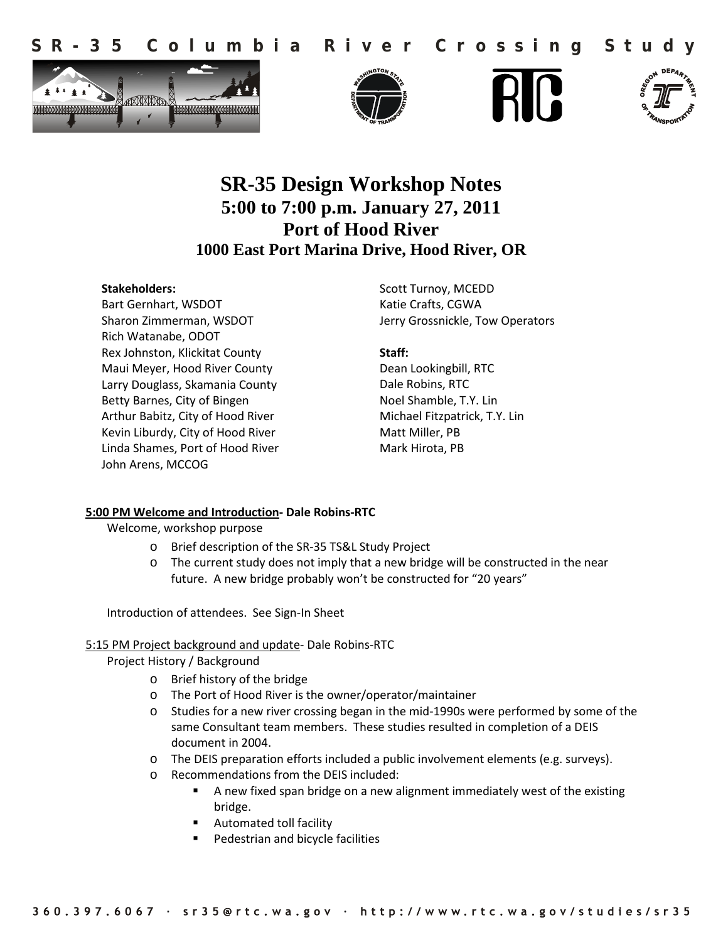







# **SR-35 Design Workshop Notes 5:00 to 7:00 p.m. January 27, 2011 Port of Hood River 1000 East Port Marina Drive, Hood River, OR**

#### **Stakeholders:**

Bart Gernhart, WSDOT Sharon Zimmerman, WSDOT Rich Watanabe, ODOT Rex Johnston, Klickitat County Maui Meyer, Hood River County Larry Douglass, Skamania County Betty Barnes, City of Bingen Arthur Babitz, City of Hood River Kevin Liburdy, City of Hood River Linda Shames, Port of Hood River John Arens, MCCOG

Scott Turnoy, MCEDD Katie Crafts, CGWA Jerry Grossnickle, Tow Operators

**Staff:**

Dean Lookingbill, RTC Dale Robins, RTC Noel Shamble, T.Y. Lin Michael Fitzpatrick, T.Y. Lin Matt Miller, PB Mark Hirota, PB

## **5:00 PM Welcome and Introduction- Dale Robins-RTC**

Welcome, workshop purpose

- o Brief description of the SR-35 TS&L Study Project
- o The current study does not imply that a new bridge will be constructed in the near future. A new bridge probably won't be constructed for "20 years"

Introduction of attendees. See Sign-In Sheet

## 5:15 PM Project background and update- Dale Robins-RTC

Project History / Background

- o Brief history of the bridge
- o The Port of Hood River is the owner/operator/maintainer
- o Studies for a new river crossing began in the mid-1990s were performed by some of the same Consultant team members. These studies resulted in completion of a DEIS document in 2004.
- o The DEIS preparation efforts included a public involvement elements (e.g. surveys).
- o Recommendations from the DEIS included:
	- A new fixed span bridge on a new alignment immediately west of the existing bridge.
	- **Automated toll facility**
	- Pedestrian and bicycle facilities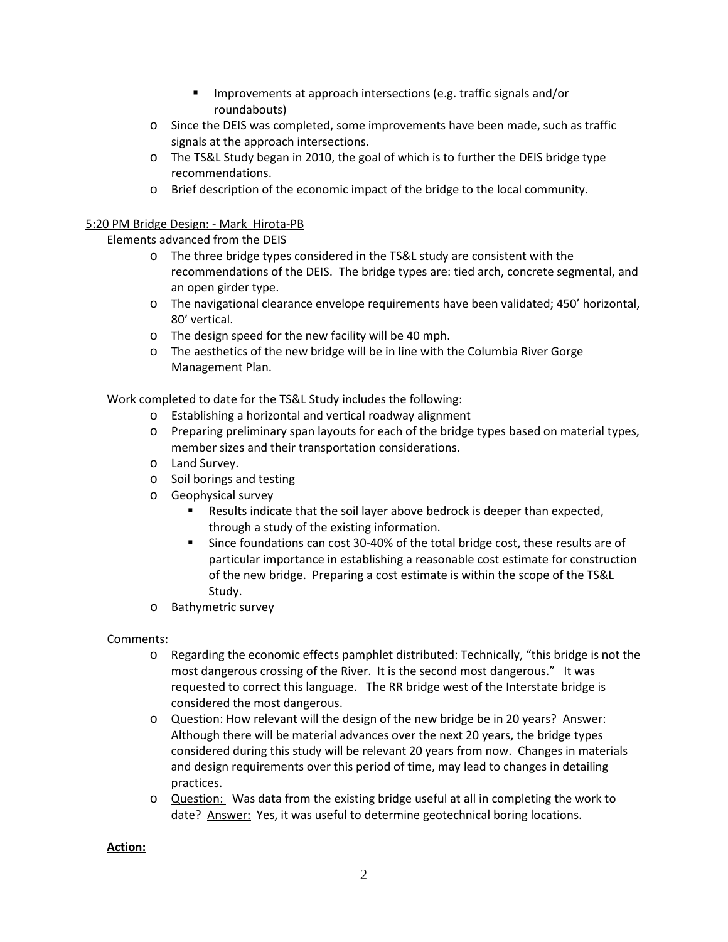- Improvements at approach intersections (e.g. traffic signals and/or roundabouts)
- o Since the DEIS was completed, some improvements have been made, such as traffic signals at the approach intersections.
- o The TS&L Study began in 2010, the goal of which is to further the DEIS bridge type recommendations.
- o Brief description of the economic impact of the bridge to the local community.

## 5:20 PM Bridge Design: - Mark Hirota-PB

Elements advanced from the DEIS

- o The three bridge types considered in the TS&L study are consistent with the recommendations of the DEIS. The bridge types are: tied arch, concrete segmental, and an open girder type.
- o The navigational clearance envelope requirements have been validated; 450' horizontal, 80' vertical.
- o The design speed for the new facility will be 40 mph.
- o The aesthetics of the new bridge will be in line with the Columbia River Gorge Management Plan.

Work completed to date for the TS&L Study includes the following:

- o Establishing a horizontal and vertical roadway alignment
- o Preparing preliminary span layouts for each of the bridge types based on material types, member sizes and their transportation considerations.
- o Land Survey.
- o Soil borings and testing
- o Geophysical survey
	- Results indicate that the soil layer above bedrock is deeper than expected, through a study of the existing information.
	- Since foundations can cost 30-40% of the total bridge cost, these results are of particular importance in establishing a reasonable cost estimate for construction of the new bridge. Preparing a cost estimate is within the scope of the TS&L Study.
- o Bathymetric survey

## Comments:

- o Regarding the economic effects pamphlet distributed: Technically, "this bridge is not the most dangerous crossing of the River. It is the second most dangerous." It was requested to correct this language. The RR bridge west of the Interstate bridge is considered the most dangerous.
- o Question: How relevant will the design of the new bridge be in 20 years? Answer: Although there will be material advances over the next 20 years, the bridge types considered during this study will be relevant 20 years from now. Changes in materials and design requirements over this period of time, may lead to changes in detailing practices.
- o Question: Was data from the existing bridge useful at all in completing the work to date? Answer: Yes, it was useful to determine geotechnical boring locations.

# **Action:**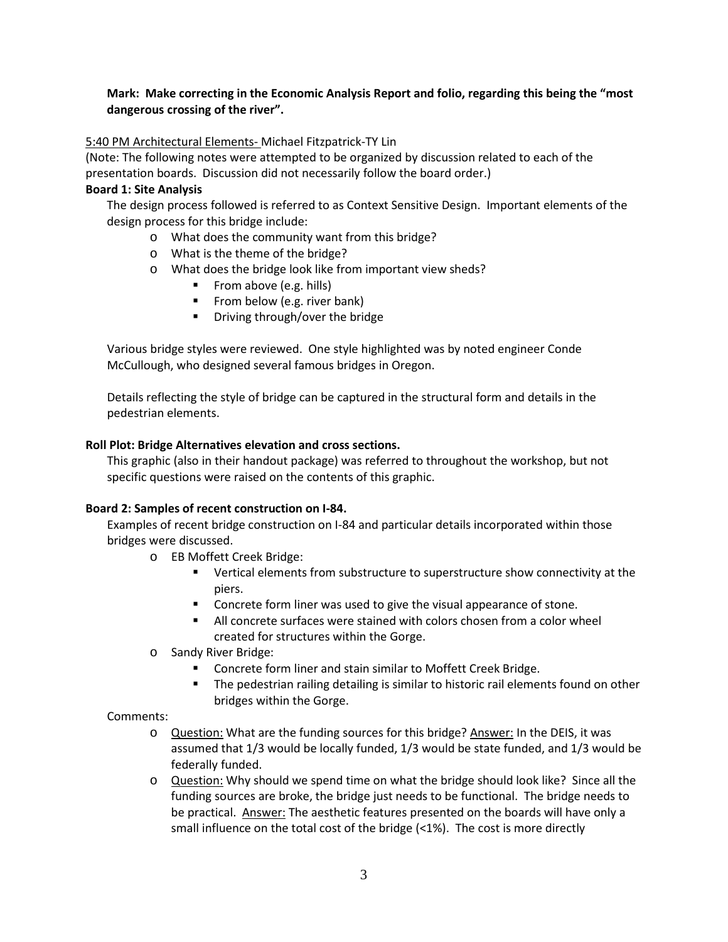# **Mark: Make correcting in the Economic Analysis Report and folio, regarding this being the "most dangerous crossing of the river".**

#### 5:40 PM Architectural Elements- Michael Fitzpatrick-TY Lin

(Note: The following notes were attempted to be organized by discussion related to each of the presentation boards. Discussion did not necessarily follow the board order.)

#### **Board 1: Site Analysis**

The design process followed is referred to as Context Sensitive Design. Important elements of the design process for this bridge include:

- o What does the community want from this bridge?
- o What is the theme of the bridge?
- o What does the bridge look like from important view sheds?
	- From above (e.g. hills)
	- **Filter** From below (e.g. river bank)
	- Driving through/over the bridge

Various bridge styles were reviewed. One style highlighted was by noted engineer Conde McCullough, who designed several famous bridges in Oregon.

Details reflecting the style of bridge can be captured in the structural form and details in the pedestrian elements.

## **Roll Plot: Bridge Alternatives elevation and cross sections.**

This graphic (also in their handout package) was referred to throughout the workshop, but not specific questions were raised on the contents of this graphic.

## **Board 2: Samples of recent construction on I-84.**

Examples of recent bridge construction on I-84 and particular details incorporated within those bridges were discussed.

- o EB Moffett Creek Bridge:
	- Vertical elements from substructure to superstructure show connectivity at the piers.
	- Concrete form liner was used to give the visual appearance of stone.
	- All concrete surfaces were stained with colors chosen from a color wheel created for structures within the Gorge.
- o Sandy River Bridge:
	- **EXECONCRETE:** Concrete form liner and stain similar to Moffett Creek Bridge.
	- The pedestrian railing detailing is similar to historic rail elements found on other bridges within the Gorge.

#### Comments:

- o Question: What are the funding sources for this bridge? Answer: In the DEIS, it was assumed that 1/3 would be locally funded, 1/3 would be state funded, and 1/3 would be federally funded.
- o Question: Why should we spend time on what the bridge should look like? Since all the funding sources are broke, the bridge just needs to be functional. The bridge needs to be practical. Answer: The aesthetic features presented on the boards will have only a small influence on the total cost of the bridge (<1%). The cost is more directly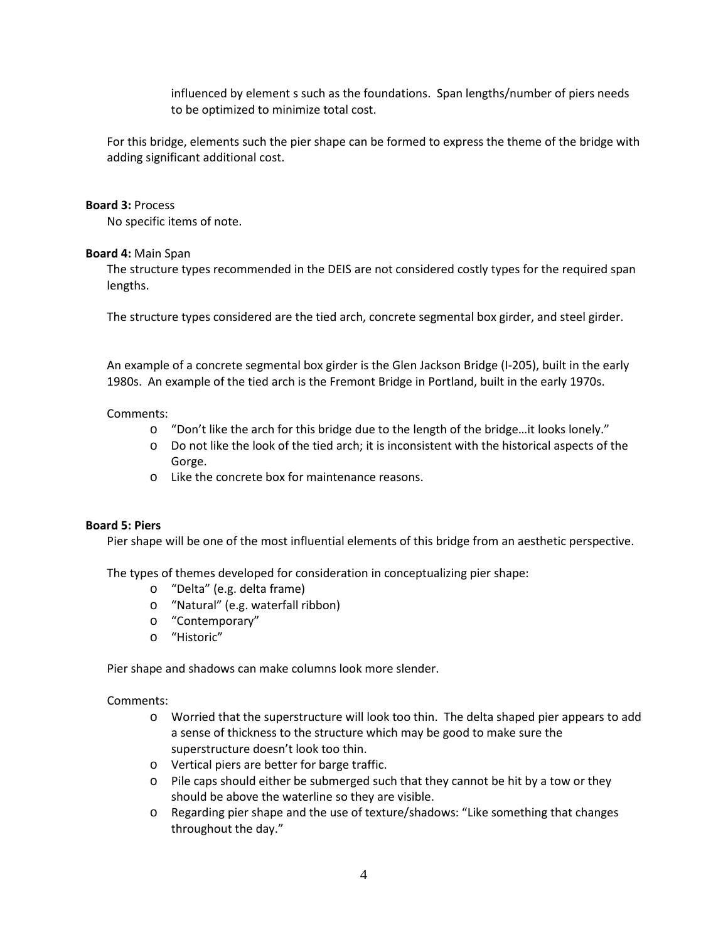influenced by element s such as the foundations. Span lengths/number of piers needs to be optimized to minimize total cost.

For this bridge, elements such the pier shape can be formed to express the theme of the bridge with adding significant additional cost.

#### **Board 3:** Process

No specific items of note.

#### **Board 4:** Main Span

The structure types recommended in the DEIS are not considered costly types for the required span lengths.

The structure types considered are the tied arch, concrete segmental box girder, and steel girder.

An example of a concrete segmental box girder is the Glen Jackson Bridge (I-205), built in the early 1980s. An example of the tied arch is the Fremont Bridge in Portland, built in the early 1970s.

#### Comments:

- o "Don't like the arch for this bridge due to the length of the bridge…it looks lonely."
- o Do not like the look of the tied arch; it is inconsistent with the historical aspects of the Gorge.
- o Like the concrete box for maintenance reasons.

#### **Board 5: Piers**

Pier shape will be one of the most influential elements of this bridge from an aesthetic perspective.

The types of themes developed for consideration in conceptualizing pier shape:

- o "Delta" (e.g. delta frame)
- o "Natural" (e.g. waterfall ribbon)
- o "Contemporary"
- o "Historic"

Pier shape and shadows can make columns look more slender.

#### Comments:

- o Worried that the superstructure will look too thin. The delta shaped pier appears to add a sense of thickness to the structure which may be good to make sure the superstructure doesn't look too thin.
- o Vertical piers are better for barge traffic.
- $\circ$  Pile caps should either be submerged such that they cannot be hit by a tow or they should be above the waterline so they are visible.
- o Regarding pier shape and the use of texture/shadows: "Like something that changes throughout the day."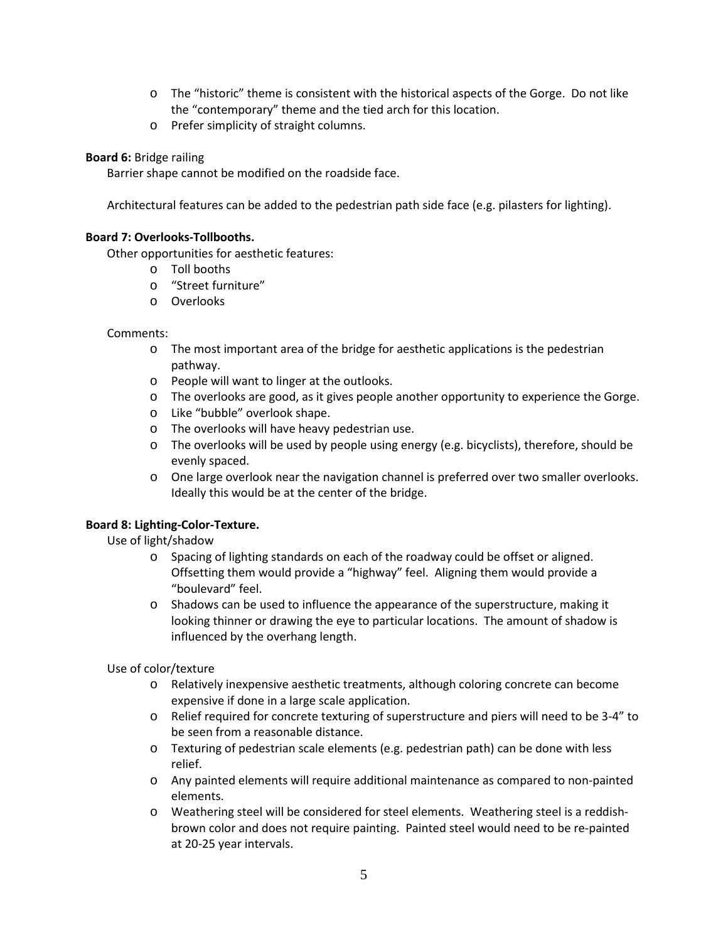- o The "historic" theme is consistent with the historical aspects of the Gorge. Do not like the "contemporary" theme and the tied arch for this location.
- o Prefer simplicity of straight columns.

### **Board 6:** Bridge railing

Barrier shape cannot be modified on the roadside face.

Architectural features can be added to the pedestrian path side face (e.g. pilasters for lighting).

#### **Board 7: Overlooks-Tollbooths.**

Other opportunities for aesthetic features:

- o Toll booths
- o "Street furniture"
- o Overlooks

#### Comments:

- o The most important area of the bridge for aesthetic applications is the pedestrian pathway.
- o People will want to linger at the outlooks.
- o The overlooks are good, as it gives people another opportunity to experience the Gorge.
- o Like "bubble" overlook shape.
- o The overlooks will have heavy pedestrian use.
- $\circ$  The overlooks will be used by people using energy (e.g. bicyclists), therefore, should be evenly spaced.
- o One large overlook near the navigation channel is preferred over two smaller overlooks. Ideally this would be at the center of the bridge.

## **Board 8: Lighting-Color-Texture.**

Use of light/shadow

- o Spacing of lighting standards on each of the roadway could be offset or aligned. Offsetting them would provide a "highway" feel. Aligning them would provide a "boulevard" feel.
- $\circ$  Shadows can be used to influence the appearance of the superstructure, making it looking thinner or drawing the eye to particular locations. The amount of shadow is influenced by the overhang length.

Use of color/texture

- o Relatively inexpensive aesthetic treatments, although coloring concrete can become expensive if done in a large scale application.
- o Relief required for concrete texturing of superstructure and piers will need to be 3-4" to be seen from a reasonable distance.
- o Texturing of pedestrian scale elements (e.g. pedestrian path) can be done with less relief.
- o Any painted elements will require additional maintenance as compared to non-painted elements.
- o Weathering steel will be considered for steel elements. Weathering steel is a reddishbrown color and does not require painting. Painted steel would need to be re-painted at 20-25 year intervals.